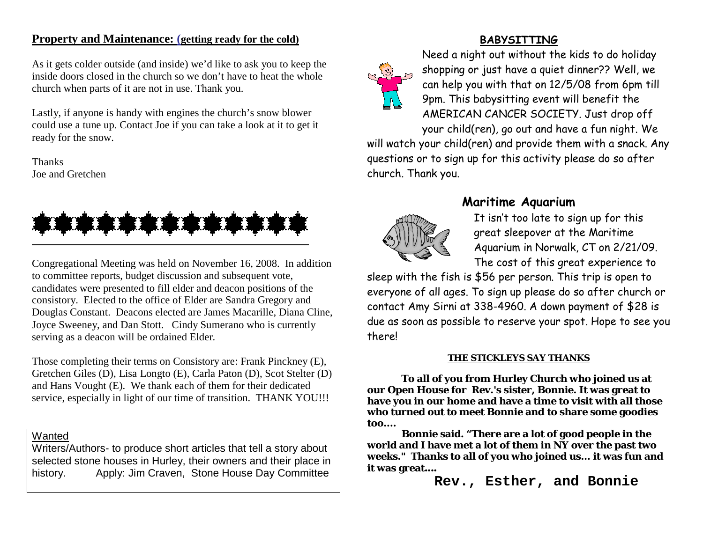# **Property and Maintenance: (getting ready for the cold)**

As it gets colder outside (and inside) we'd like to ask you to keep the inside doors closed in the church so we don't have to heat the whole church when parts of it are not in use. Thank you.

Lastly, if anyone is handy with engines the church's snow blower could use a tune up. Contact Joe if you can take a look at it to get it ready for the snow.

Thanks Joe and Gretchen



Congregational Meeting was held on November 16, 2008. In addition to committee reports, budget discussion and subsequent vote, candidates were presented to fill elder and deacon positions of the consistory. Elected to the office of Elder are Sandra Gregory and Douglas Constant. Deacons elected are James Macarille, Diana Cline, Joyce Sweeney, and Dan Stott. Cindy Sumerano who is currently serving as a deacon will be ordained Elder.

Those completing their terms on Consistory are: Frank Pinckney (E), Gretchen Giles (D), Lisa Longto (E), Carla Paton (D), Scot Stelter (D) and Hans Vought (E). We thank each of them for their dedicated service, especially in light of our time of transition. THANK YOU!!!

# Wanted

Writers/Authors- to produce short articles that tell a story about selected stone houses in Hurley, their owners and their place in history. Apply: Jim Craven, Stone House Day Committee

# **BABYSITTING**



Need a night out without the kids to do holiday shopping or just have a quiet dinner?? Well, we can help you with that on 12/5/08 from 6pm till 9pm. This babysitting event will benefit the AMERICAN CANCER SOCIETY. Just drop off your child(ren), go out and have a fun night. We

will watch your child(ren) and provide them with a snack. Any questions or to sign up for this activity please do so after church. Thank you.



# **Maritime Aquarium**

It isn't too late to sign up for this great sleepover at the Maritime Aquarium in Norwalk, CT on 2/21/09. The cost of this great experience to

sleep with the fish is \$56 per person. This trip is open to everyone of all ages. To sign up please do so after church or contact Amy Sirni at 338-4960. A down payment of \$28 is due as soon as possible to reserve your spot. Hope to see you there!

### **THE STICKLEYS SAY THANKS**

**To all of you from Hurley Church who joined us at our Open House for Rev.'s sister, Bonnie. It was great to have you in our home and have a time to visit with all those who turned out to meet Bonnie and to share some goodies too....**

**Bonnie said. "There are a lot of good people in the world and I have met a lot of them in NY over the past two weeks." Thanks to all of you who joined us... it was fun and it was great**....

**Rev., Esther, and Bonnie**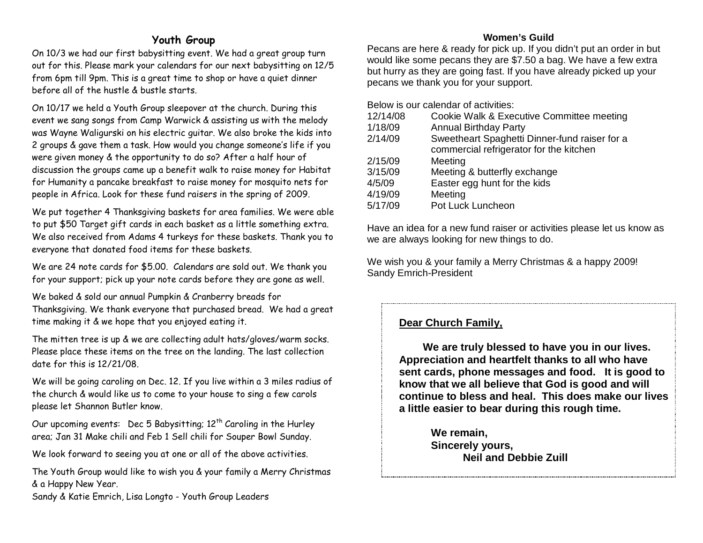# **Youth Group**

On 10/3 we had our first babysitting event. We had a great group turn out for this. Please mark your calendars for our next babysitting on 12/5 from 6pm till 9pm. This is a great time to shop or have a quiet dinner before all of the hustle & bustle starts.

On 10/17 we held a Youth Group sleepover at the church. During this event we sang songs from Camp Warwick & assisting us with the melody was Wayne Waligurski on his electric guitar. We also broke the kids into 2 groups & gave them a task. How would you change someone's life if you were given money & the opportunity to do so? After a half hour of discussion the groups came up a benefit walk to raise money for Habitat for Humanity a pancake breakfast to raise money for mosquito nets for people in Africa. Look for these fund raisers in the spring of 2009.

We put together 4 Thanksgiving baskets for area families. We were able to put \$50 Target gift cards in each basket as a little something extra. We also received from Adams 4 turkeys for these baskets. Thank you to everyone that donated food items for these baskets.

We are 24 note cards for \$5.00. Calendars are sold out. We thank you for your support; pick up your note cards before they are gone as well.

We baked & sold our annual Pumpkin & Cranberry breads for Thanksgiving. We thank everyone that purchased bread. We had a great time making it & we hope that you enjoyed eating it.

The mitten tree is up & we are collecting adult hats/gloves/warm socks. Please place these items on the tree on the landing. The last collection date for this is 12/21/08.

We will be going caroling on Dec. 12. If you live within a 3 miles radius of the church & would like us to come to your house to sing a few carols please let Shannon Butler know.

Our upcoming events: Dec 5 Babysitting;  $12<sup>th</sup>$  Caroling in the Hurley area; Jan 31 Make chili and Feb 1 Sell chili for Souper Bowl Sunday.

We look forward to seeing you at one or all of the above activities.

The Youth Group would like to wish you & your family a Merry Christmas & a Happy New Year.

Sandy & Katie Emrich, Lisa Longto - Youth Group Leaders

## **Women's Guild**

Pecans are here & ready for pick up. If you didn't put an order in but would like some pecans they are \$7.50 a bag. We have a few extra but hurry as they are going fast. If you have already picked up your pecans we thank you for your support.

Below is our calendar of activities:

| 12/14/08 | Cookie Walk & Executive Committee meeting     |
|----------|-----------------------------------------------|
| 1/18/09  | <b>Annual Birthday Party</b>                  |
| 2/14/09  | Sweetheart Spaghetti Dinner-fund raiser for a |
|          | commercial refrigerator for the kitchen       |
| 2/15/09  | Meeting                                       |
| 3/15/09  | Meeting & butterfly exchange                  |
| 4/5/09   | Easter egg hunt for the kids                  |
| 4/19/09  | Meeting                                       |
| 5/17/09  | Pot Luck Luncheon                             |
|          |                                               |

Have an idea for a new fund raiser or activities please let us know as we are always looking for new things to do.

We wish you & your family a Merry Christmas & a happy 2009! Sandy Emrich-President

# **Dear Church Family,**

 **We are truly blessed to have you in our lives. Appreciation and heartfelt thanks to all who have sent cards, phone messages and food. It is good to know that we all believe that God is good and will continue to bless and heal. This does make our lives a little easier to bear during this rough time.**

> **We remain, Sincerely yours, Neil and Debbie Zuill**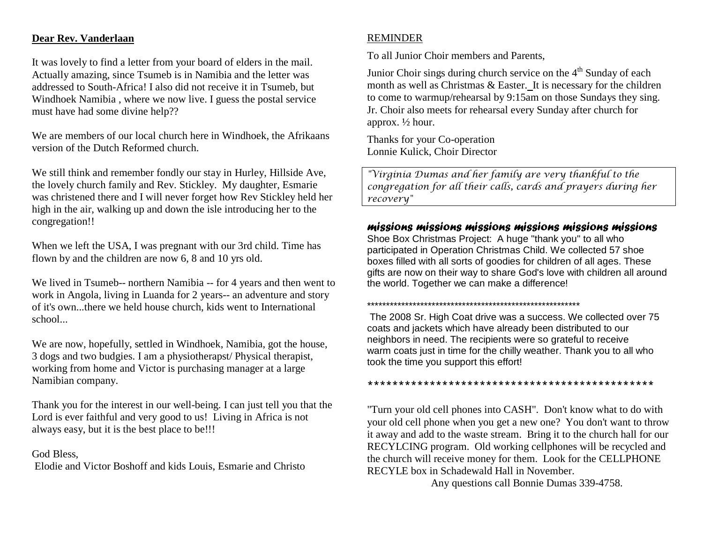## **Dear Rev. Vanderlaan**

It was lovely to find a letter from your board of elders in the mail. Actually amazing, since Tsumeb is in Namibia and the letter was addressed to South-Africa! I also did not receive it in Tsumeb, but Windhoek Namibia , where we now live. I guess the postal service must have had some divine help??

We are members of our local church here in Windhoek, the Afrikaans version of the Dutch Reformed church.

We still think and remember fondly our stay in Hurley, Hillside Ave, the lovely church family and Rev. Stickley. My daughter, Esmarie was christened there and I will never forget how Rev Stickley held her high in the air, walking up and down the isle introducing her to the congregation!!

When we left the USA, I was pregnant with our 3rd child. Time has flown by and the children are now 6, 8 and 10 yrs old.

We lived in Tsumeb-- northern Namibia -- for 4 years and then went to work in Angola, living in Luanda for 2 years-- an adventure and story of it's own...there we held house church, kids went to International school...

We are now, hopefully, settled in Windhoek, Namibia, got the house, 3 dogs and two budgies. I am a physiotherapst/ Physical therapist, working from home and Victor is purchasing manager at a large Namibian company.

Thank you for the interest in our well-being. I can just tell you that the Lord is ever faithful and very good to us! Living in Africa is not always easy, but it is the best place to be!!!

### God Bless,

Elodie and Victor Boshoff and kids Louis, Esmarie and Christo

# REMINDER

To all Junior Choir members and Parents,

Junior Choir sings during church service on the  $4<sup>th</sup>$  Sunday of each month as well as Christmas & Easter. It is necessary for the children to come to warmup/rehearsal by 9:15am on those Sundays they sing. Jr. Choir also meets for rehearsal every Sunday after church for approx. ½ hour.

Thanks for your Co-operation Lonnie Kulick, Choir Director

*"Virginia Dumas and her family are very thankful to the congregation for all their calls, cards and prayers during her recovery"*

# *missions missions missions missions missions missions*

Shoe Box Christmas Project: A huge "thank you" to all who participated in Operation Christmas Child. We collected 57 shoe boxes filled with all sorts of goodies for children of all ages. These gifts are now on their way to share God's love with children all around the world. Together we can make a difference!

#### \*\*\*\*\*\*\*\*\*\*\*\*\*\*\*\*\*\*\*\*\*\*\*\*\*\*\*\*\*\*\*\*\*\*\*\*\*\*\*\*\*\*\*\*\*\*\*\*\*\*\*\*\*\*\*\*

The 2008 Sr. High Coat drive was a success. We collected over 75 coats and jackets which have already been distributed to our neighbors in need. The recipients were so grateful to receive warm coats just in time for the chilly weather. Thank you to all who took the time you support this effort!

#### \*\*\*\*\*\*\*\*\*\*\*\*\*\*\*\*\*\*\*\*\*\*\*\*\*\*\*\*\*\*\*\*\*\*\*\*\*\*\*\*\*\*\*\*\*\*

"Turn your old cell phones into CASH". Don't know what to do with your old cell phone when you get a new one? You don't want to throw it away and add to the waste stream. Bring it to the church hall for our RECYLCING program. Old working cellphones will be recycled and the church will receive money for them. Look for the CELLPHONE RECYLE box in Schadewald Hall in November.

Any questions call Bonnie Dumas 339-4758.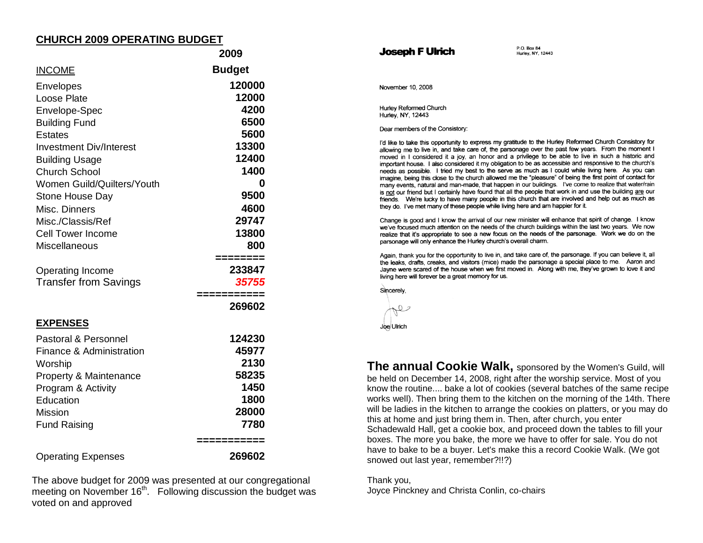## **CHURCH 2009 OPERATING BUDGET**

|                                | 2009          |
|--------------------------------|---------------|
| <b>INCOME</b>                  | <b>Budget</b> |
| Envelopes                      | 120000        |
| Loose Plate                    | 12000         |
| Envelope-Spec                  | 4200          |
| <b>Building Fund</b>           | 6500          |
| Estates                        | 5600          |
| <b>Investment Div/Interest</b> | 13300         |
| <b>Building Usage</b>          | 12400         |
| <b>Church School</b>           | 1400          |
| Women Guild/Quilters/Youth     | 0             |
| Stone House Day                | 9500          |
| Misc. Dinners                  | 4600          |
| Misc./Classis/Ref              | 29747         |
| <b>Cell Tower Income</b>       | 13800         |
| <b>Miscellaneous</b>           | 800           |
|                                | ========      |
| <b>Operating Income</b>        | 233847        |
| <b>Transfer from Savings</b>   | 35755         |
|                                | :==========   |
|                                | 269602        |
| <u>EXPENSES</u>                |               |
| Pastoral & Personnel           | 124230        |
| Finance & Administration       | 45977         |
| Worship                        | 2130          |
| Property & Maintenance         | 58235         |
| Program & Activity             | 1450          |
| Education                      | 1800          |
| <b>Mission</b>                 | 28000         |
| <b>Fund Raising</b>            | 7780          |
|                                | ==========    |
| <b>Operating Expenses</b>      | 269602        |

The above budget for 2009 was presented at our congregational meeting on November  $16<sup>th</sup>$ . Following discussion the budget was voted on and approved

#### Joseph F Ulrich

 $P$  O Box 84 Hurley, NY. 12443

November 10, 2008

Hurley Reformed Church Hurley, NY, 12443

Dear members of the Consistory:

I'd like to take this opportunity to express my gratitude to the Hurley Reformed Church Consistory for allowing me to live in, and take care of, the parsonage over the past few years. From the moment I moved in I considered it a joy, an honor and a privilege to be able to live in such a historic and important house. I also considered it my obligation to be as accessible and responsive to the church's needs as possible. I tried my best to the serve as much as I could while living here. As you can imagine, being this close to the church allowed me the "pleasure" of being the first point of contact for many events, natural and man-made, that happen in our buildings. I've come to realize that water/rain is not our friend but I certainly have found that all the people that work in and use the building are our friends. We're lucky to have many people in this church that are involved and help out as much as they do. I've met many of these people while living here and am happier for it.

Change is good and I know the arrival of our new minister will enhance that spirit of change. I know we've focused much attention on the needs of the church buildings within the last two years. We now realize that it's appropriate to see a new focus on the needs of the parsonage. Work we do on the parsonage will only enhance the Hurley church's overall charm.

Again, thank you for the opportunity to live in, and take care of, the parsonage. If you can believe it, all the leaks, drafts, creaks, and visitors (mice) made the parsonage a special place to me. Aaron and Jayne were scared of the house when we first moved in. Along with me, they've grown to love it and living here will forever be a great memory for us.



Joe Ulrich

**The annual Cookie Walk,** sponsored by the Women's Guild, will be held on December 14, 2008, right after the worship service. Most of you know the routine.... bake a lot of cookies (several batches of the same recipe works well). Then bring them to the kitchen on the morning of the 14th. There will be ladies in the kitchen to arrange the cookies on platters, or you may do this at home and just bring them in. Then, after church, you enter Schadewald Hall, get a cookie box, and proceed down the tables to fill your boxes. The more you bake, the more we have to offer for sale. You do not have to bake to be a buyer. Let's make this a record Cookie Walk. (We got snowed out last year, remember?!!?)

Thank you, Joyce Pinckney and Christa Conlin, co-chairs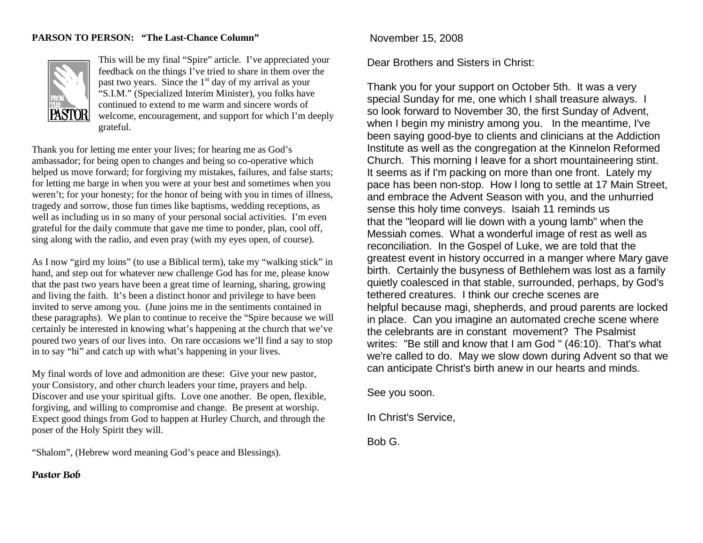#### **PARSON TO PERSON: "The Last-Chance Column"**



This will be my final "Spire" article. I've appreciated your feedback on the things I've tried to share in them over the past two years. Since the  $1<sup>st</sup>$  day of my arrival as your "S.I.M." (Specialized Interim Minister), you folks have continued to extend to me warm and sincere words of welcome, encouragement, and support for which I'm deeply grateful.

Thank you for letting me enter your lives; for hearing me as God's ambassador; for being open to changes and being so co-operative which helped us move forward; for forgiving my mistakes, failures, and false starts; for letting me barge in when you were at your best and sometimes when you weren't; for your honesty; for the honor of being with you in times of illness, tragedy and sorrow, those fun times like baptisms, wedding receptions, as well as including us in so many of your personal social activities. I'm even grateful for the daily commute that gave me time to ponder, plan, cool off, sing along with the radio, and even pray (with my eyes open, of course).

As I now "gird my loins" (to use a Biblical term), take my "walking stick" in hand, and step out for whatever new challenge God has for me, please know that the past two years have been a great time of learning, sharing, growing and living the faith. It's been a distinct honor and privilege to have been invited to serve among you. (June joins me in the sentiments contained in these paragraphs). We plan to continue to receive the "Spire because we will certainly be interested in knowing what's happening at the church that we've poured two years of our lives into. On rare occasions we'll find a say to stop in to say "hi" and catch up with what's happening in your lives.

My final words of love and admonition are these: Give your new pastor, your Consistory, and other church leaders your time, prayers and help. Discover and use your spiritual gifts. Love one another. Be open, flexible, forgiving, and willing to compromise and change. Be present at worship. Expect good things from God to happen at Hurley Church, and through the poser of the Holy Spirit they will.

"Shalom", (Hebrew word meaning God's peace and Blessings).

### **Pastor Bob**

November 15, 2008

Dear Brothers and Sisters in Christ:

Thank you for your support on October 5th. It was a very special Sunday for me, one which I shall treasure always. I so look forward to November 30, the first Sunday of Advent, when I begin my ministry among you. In the meantime, I've been saying good-bye to clients and clinicians at the Addiction Institute as well as the congregation at the Kinnelon Reformed Church. This morning I leave for a short mountaineering stint. It seems as if I'm packing on more than one front. Lately my pace has been non-stop. How I long to settle at 17 Main Street, and embrace the Advent Season with you, and the unhurried sense this holy time conveys. Isaiah 11 reminds us that the "leopard will lie down with a young lamb" when the Messiah comes. What a wonderful image of rest as well as reconciliation. In the Gospel of Luke, we are told that the greatest event in history occurred in a manger where Mary gave birth. Certainly the busyness of Bethlehem was lost as a family quietly coalesced in that stable, surrounded, perhaps, by God's tethered creatures. I think our creche scenes are helpful because magi, shepherds, and proud parents are locked in place. Can you imagine an automated creche scene where the celebrants are in constant movement? The Psalmist writes: "Be still and know that I am God " (46:10). That's what we're called to do. May we slow down during Advent so that we can anticipate Christ's birth anew in our hearts and minds.

See you soon.

In Christ's Service,

Bob G.